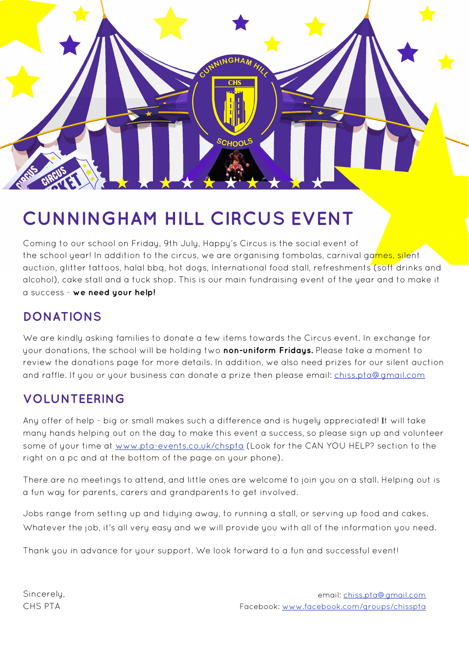

# **CUNNINGHAM HILL CIRCUS EVENT**

Coming to our school on Friday, 9th July, Happy's Circus is the social event of the school year! In addition to the circus, we are organising tombolas, carnival games, silent auction, glitter tattoos, halal bbq, hot dogs, International food stall, refreshments (soft drinks and alcohol), cake stall and a tuck shop. This is our main fundraising event of the year and to make it a success - **we need your help!** 

# **DONATIONS**

We are kindly asking families to donate a few items towards the Circus event. In exchange for your donations, the school will be holding two **non-uniform Fridays.** Please take a moment to review the donations page for more details. In addition, we also need prizes for our silent auction and raffle. If you or your business can donate a prize then please email: [chiss.pta@gmail.com](mailto:chiss.pta@gmail.com)

# **VOLUNTEERING**

Any offer of help - big or small makes such a difference and is hugely appreciated! It will take many hands helping out on the day to make this event a success, so please sign up and volunteer some of your time at [www.pta-events.co.uk/chspta](http://www.pta-events.co.uk/chspta) (Look for the CAN YOU HELP? section to the right on a pc and at the bottom of the page on your phone).

There are no meetings to attend, and little ones are welcome to join you on a stall. Helping out is a fun way for parents, carers and grandparents to get involved.

Jobs range from setting up and tidying away, to running a stall, or serving up food and cakes. Whatever the job, it's all very easy and we will provide you with all of the information you need.

Thank you in advance for your support. We look forward to a fun and successful event!